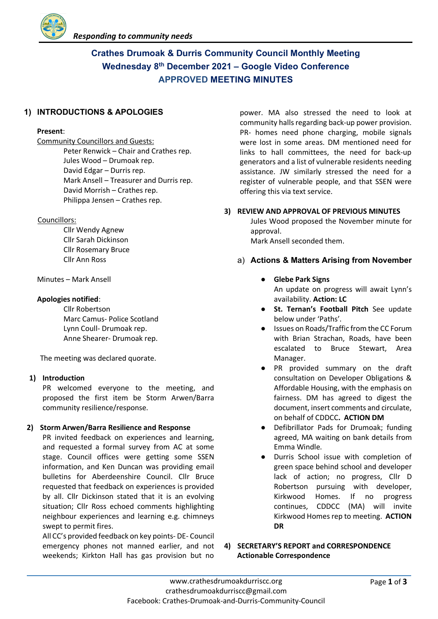

# **Crathes Drumoak & Durris Community Council Monthly Meeting Wednesday 8th December 2021 – Google Video Conference APPROVED MEETING MINUTES**

# **1) INTRODUCTIONS & APOLOGIES**

#### **Present**:

Community Councillors and Guests: Peter Renwick – Chair and Crathes rep. Jules Wood – Drumoak rep. David Edgar – Durris rep. Mark Ansell – Treasurer and Durris rep. David Morrish – Crathes rep. Philippa Jensen – Crathes rep.

#### Councillors:

Cllr Wendy Agnew Cllr Sarah Dickinson Cllr Rosemary Bruce Cllr Ann Ross

Minutes – Mark Ansell

## **Apologies notified**:

Cllr Robertson Marc Camus- Police Scotland Lynn Coull- Drumoak rep. Anne Shearer- Drumoak rep.

The meeting was declared quorate.

#### **1) Introduction**

PR welcomed everyone to the meeting, and proposed the first item be Storm Arwen/Barra community resilience/response.

# **2) Storm Arwen/Barra Resilience and Response**

PR invited feedback on experiences and learning, and requested a formal survey from AC at some stage. Council offices were getting some SSEN information, and Ken Duncan was providing email bulletins for Aberdeenshire Council. Cllr Bruce requested that feedback on experiences is provided by all. Cllr Dickinson stated that it is an evolving situation; Cllr Ross echoed comments highlighting neighbour experiences and learning e.g. chimneys swept to permit fires.

All CC's provided feedback on key points- DE- Council emergency phones not manned earlier, and not weekends; Kirkton Hall has gas provision but no

power. MA also stressed the need to look at community halls regarding back-up power provision. PR- homes need phone charging, mobile signals were lost in some areas. DM mentioned need for links to hall committees, the need for back-up generators and a list of vulnerable residents needing assistance. JW similarly stressed the need for a register of vulnerable people, and that SSEN were offering this via text service.

## **3) REVIEW AND APPROVAL OF PREVIOUS MINUTES**

Jules Wood proposed the November minute for approval. Mark Ansell seconded them.

- a) **Actions & Matters Arising from November**
	- **Glebe Park Signs** An update on progress will await Lynn's availability. **Action: LC**
	- **St. Ternan's Football Pitch** See update below under 'Paths'.
	- Issues on Roads/Traffic from the CC Forum with Brian Strachan, Roads, have been escalated to Bruce Stewart, Area Manager.
	- PR provided summary on the draft consultation on Developer Obligations & Affordable Housing, with the emphasis on fairness. DM has agreed to digest the document, insert comments and circulate, on behalf of CDDCC**. ACTION DM**
	- Defibrillator Pads for Drumoak; funding agreed, MA waiting on bank details from Emma Windle.
	- Durris School issue with completion of green space behind school and developer lack of action; no progress, Cllr D Robertson pursuing with developer, Kirkwood Homes. If no progress continues, CDDCC (MA) will invite Kirkwood Homes rep to meeting. **ACTION DR**

**4) SECRETARY'S REPORT and CORRESPONDENCE Actionable Correspondence**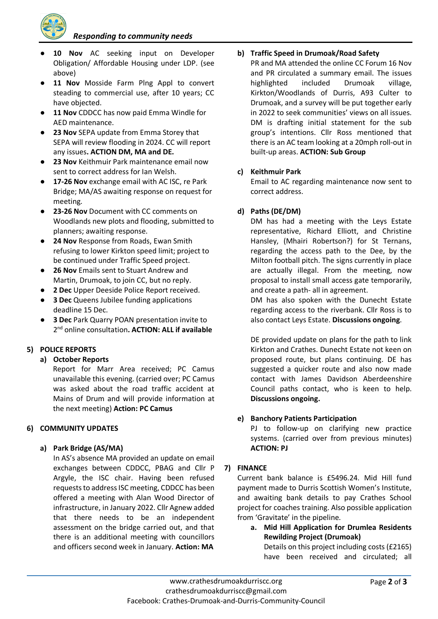*Responding to community needs*



- 10 **Nov** AC seeking input on Developer Obligation/ Affordable Housing under LDP. (see above)
- **11 Nov** Mosside Farm Plng Appl to convert steading to commercial use, after 10 years; CC have objected.
- **11 Nov** CDDCC has now paid Emma Windle for AED maintenance.
- **23 Nov** SEPA update from Emma Storey that SEPA will review flooding in 2024. CC will report any issues**. ACTION DM, MA and DE.**
- **23 Nov** Keithmuir Park maintenance email now sent to correct address for Ian Welsh.
- **17-26 Nov** exchange email with AC ISC, re Park Bridge; MA/AS awaiting response on request for meeting.
- **23-26 Nov** Document with CC comments on Woodlands new plots and flooding, submitted to planners; awaiting response.
- **24 Nov** Response from Roads, Ewan Smith refusing to lower Kirkton speed limit; project to be continued under Traffic Speed project.
- **26 Nov** Emails sent to Stuart Andrew and Martin, Drumoak, to join CC, but no reply.
- **2 Dec** Upper Deeside Police Report received.
- **3 Dec** Queens Jubilee funding applications deadline 15 Dec.
- **3 Dec** Park Quarry POAN presentation invite to 2nd online consultation**. ACTION: ALL if available**

# **5) POLICE REPORTS**

# **a) October Reports**

Report for Marr Area received; PC Camus unavailable this evening. (carried over; PC Camus was asked about the road traffic accident at Mains of Drum and will provide information at the next meeting) **Action: PC Camus**

#### **6) COMMUNITY UPDATES**

#### **a) Park Bridge (AS/MA)**

In AS's absence MA provided an update on email exchanges between CDDCC, PBAG and Cllr P Argyle, the ISC chair. Having been refused requests to address ISC meeting, CDDCC has been offered a meeting with Alan Wood Director of infrastructure, in January 2022. Cllr Agnew added that there needs to be an independent assessment on the bridge carried out, and that there is an additional meeting with councillors and officers second week in January. **Action: MA**

## **b) Traffic Speed in Drumoak/Road Safety**

PR and MA attended the online CC Forum 16 Nov and PR circulated a summary email. The issues highlighted included Drumoak village, Kirkton/Woodlands of Durris, A93 Culter to Drumoak, and a survey will be put together early in 2022 to seek communities' views on all issues. DM is drafting initial statement for the sub group's intentions. Cllr Ross mentioned that there is an AC team looking at a 20mph roll-out in built-up areas. **ACTION: Sub Group**

## **c) Keithmuir Park**

Email to AC regarding maintenance now sent to correct address.

# **d) Paths (DE/DM)**

DM has had a meeting with the Leys Estate representative, Richard Elliott, and Christine Hansley, (Mhairi Robertson?) for St Ternans, regarding the access path to the Dee, by the Milton football pitch. The signs currently in place are actually illegal. From the meeting, now proposal to install small access gate temporarily, and create a path- all in agreement.

DM has also spoken with the Dunecht Estate regarding access to the riverbank. Cllr Ross is to also contact Leys Estate. **Discussions ongoing**.

DE provided update on plans for the path to link Kirkton and Crathes. Dunecht Estate not keen on proposed route, but plans continuing. DE has suggested a quicker route and also now made contact with James Davidson Aberdeenshire Council paths contact, who is keen to help. **Discussions ongoing.**

#### **e) Banchory Patients Participation**

PJ to follow-up on clarifying new practice systems. (carried over from previous minutes) **ACTION: PJ**

#### **7) FINANCE**

Current bank balance is £5496.24. Mid Hill fund payment made to Durris Scottish Women's Institute, and awaiting bank details to pay Crathes School project for coaches training. Also possible application from 'Gravitate' in the pipeline.

**a. Mid Hill Application for Drumlea Residents Rewilding Project (Drumoak)**

Details on this project including costs (£2165) have been received and circulated; all